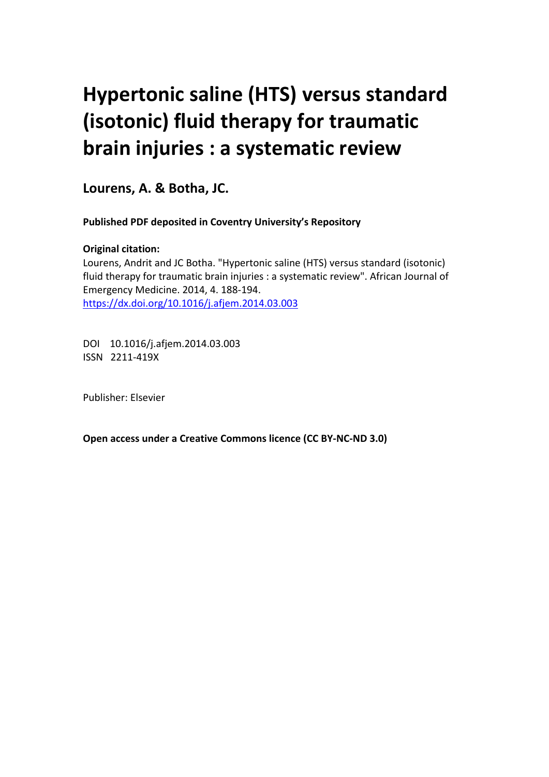# **Hypertonic saline (HTS) versus standard (isotonic) fluid therapy for traumatic brain injuries : a systematic review**

**Lourens, A. & Botha, JC.**

**Published PDF deposited in Coventry University's Repository** 

## **Original citation:**

Lourens, Andrit and JC Botha. "Hypertonic saline (HTS) versus standard (isotonic) fluid therapy for traumatic brain injuries : a systematic review". African Journal of Emergency Medicine. 2014, 4. 188-194. https://dx.doi.org/10.1016/j.afjem.2014.03.003

DOI 10.1016/j.afjem.2014.03.003 ISSN 2211-419X

Publisher: Elsevier

**Open access under a Creative Commons licence (CC BY-NC-ND 3.0)**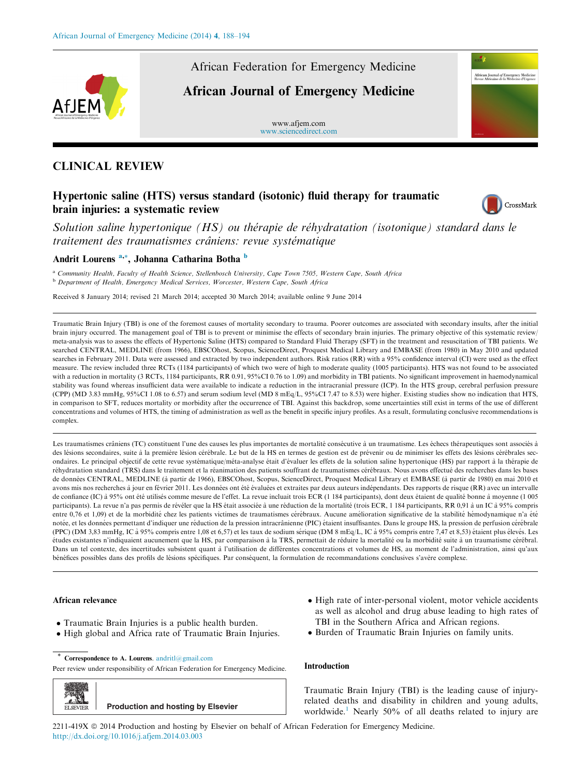

African Federation for Emergency Medicine

## African Journal of Emergency Medicine

www.afjem.com [www.sciencedirect.com](http://www.sciencedirect.com/science/journal/2211419X)

## CLINICAL REVIEW

## Hypertonic saline (HTS) versus standard (isotonic) fluid therapy for traumatic brain injuries: a systematic review



African Joumal of Emergency Medicine<br>Revue Africaine de la Médecine d'Ureence

Solution saline hypertonique (HS) ou thérapie de réhydratation (isotonique) standard dans le traitement des traumatismes crâniens: revue systématique

### Andrit Lourens<sup>a,\*</sup>, Johanna Catharina Botha <sup>b</sup>

<sup>a</sup> Community Health, Faculty of Health Science, Stellenbosch University, Cape Town 7505, Western Cape, South Africa <sup>b</sup> Department of Health, Emergency Medical Services, Worcester, Western Cape, South Africa

Received 8 January 2014; revised 21 March 2014; accepted 30 March 2014; available online 9 June 2014

Traumatic Brain Injury (TBI) is one of the foremost causes of mortality secondary to trauma. Poorer outcomes are associated with secondary insults, after the initial brain injury occurred. The management goal of TBI is to prevent or minimise the effects of secondary brain injuries. The primary objective of this systematic review/ meta-analysis was to assess the effects of Hypertonic Saline (HTS) compared to Standard Fluid Therapy (SFT) in the treatment and resuscitation of TBI patients. We searched CENTRAL, MEDLINE (from 1966), EBSCOhost, Scopus, ScienceDirect, Proquest Medical Library and EMBASE (from 1980) in May 2010 and updated searches in February 2011. Data were assessed and extracted by two independent authors. Risk ratios (RR) with a 95% confidence interval (CI) were used as the effect measure. The review included three RCTs (1184 participants) of which two were of high to moderate quality (1005 participants). HTS was not found to be associated with a reduction in mortality (3 RCTs, 1184 participants, RR 0.91, 95%CI 0.76 to 1.09) and morbidity in TBI patients. No significant improvement in haemodynamical stability was found whereas insufficient data were available to indicate a reduction in the intracranial pressure (ICP). In the HTS group, cerebral perfusion pressure (CPP) (MD 3.83 mmHg, 95%CI 1.08 to 6.57) and serum sodium level (MD 8 mEq/L, 95%CI 7.47 to 8.53) were higher. Existing studies show no indication that HTS, in comparison to SFT, reduces mortality or morbidity after the occurrence of TBI. Against this backdrop, some uncertainties still exist in terms of the use of different concentrations and volumes of HTS, the timing of administration as well as the benefit in specific injury profiles. As a result, formulating conclusive recommendations is complex.

Les traumatismes crâniens (TC) constituent l'une des causes les plus importantes de mortalité consécutive à un traumatisme. Les échecs thérapeutiques sont associés à des lésions secondaires, suite à la première lésion cérébrale. Le but de la HS en termes de gestion est de prévenir ou de minimiser les effets des lésions cérébrales secondaires. Le principal objectif de cette revue systématique/méta-analyse était d'évaluer les effets de la solution saline hypertonique (HS) par rapport à la thérapie de réhydratation standard (TRS) dans le traitement et la réanimation des patients souffrant de traumatismes cérébraux. Nous avons effectué des recherches dans les bases de données CENTRAL, MEDLINE (à partir de 1966), EBSCOhost, Scopus, ScienceDirect, Proquest Medical Library et EMBASE (à partir de 1980) en mai 2010 et avons mis nos recherches à jour en février 2011. Les données ont été évaluées et extraites par deux auteurs indépendants. Des rapports de risque (RR) avec un intervalle de confiance (IC) à 95% ont été utilisés comme mesure de l'effet. La revue incluait trois ECR (1 184 participants), dont deux étaient de qualité bonne à moyenne (1 005 participants). La revue n'a pas permis de révéler que la HS était associée à une réduction de la mortalité (trois ECR, 1 184 participants, RR 0,91 à un IC à 95% compris entre 0,76 et 1,09) et de la morbidité chez les patients victimes de traumatismes cérébraux. Aucune amélioration significative de la stabilité hémodynamique n'a été notée, et les données permettant d'indiquer une réduction de la pression intracrânienne (PIC) étaient insuffisantes. Dans le groupe HS, la pression de perfusion cérébrale (PPC) (DM 3.83 mmHg, IC à 95% compris entre 1.08 et 6,57) et les taux de sodium sérique (DM 8 mEq/L, IC à 95% compris entre 7.47 et 8.53) étaient plus élevés. Les études existantes n'indiquaient aucunement que la HS, par comparaison à la TRS, permettait de réduire la mortalité ou la morbidité suite à un traumatisme cérébral. Dans un tel contexte, des incertitudes subsistent quant à l'utilisation de différentes concentrations et volumes de HS, au moment de l'administration, ainsi qu'aux bénéfices possibles dans des profils de lésions spécifiques. Par conséquent, la formulation de recommandations conclusives s'avère complexe.

#### African relevance

- Traumatic Brain Injuries is a public health burden.
- High global and Africa rate of Traumatic Brain Injuries.
- Correspondence to A. Lourens. [andritl@gmail.com](mailto:andritl@gmail.com)

Peer review under responsibility of African Federation for Emergency Medicine.

ELSEVIER **Production and hosting by Elsevier**

- High rate of inter-personal violent, motor vehicle accidents as well as alcohol and drug abuse leading to high rates of TBI in the Southern Africa and African regions.
- Burden of Traumatic Brain Injuries on family units.

#### Introduction

Traumatic Brain Injury (TBI) is the leading cause of injuryrelated deaths and disability in children and young adults, worldwide.<sup>1</sup> Nearly 50% of all deaths related to injury are

2211-419X © 2014 Production and hosting by Elsevier on behalf of African Federation for Emergency Medicine. <http://dx.doi.org/10.1016/j.afjem.2014.03.003>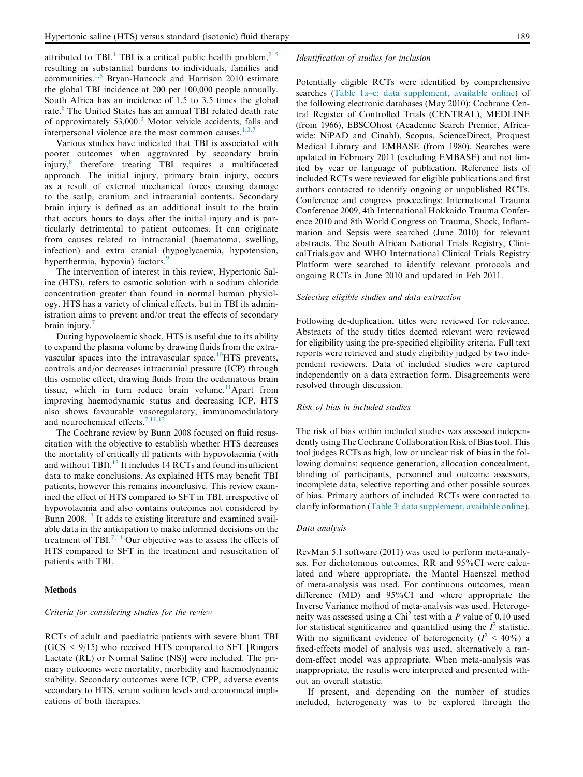attributed to TBI.<sup>[1](#page-7-0)</sup> TBI is a critical public health problem.<sup>[2–5](#page-7-0)</sup> resulting in substantial burdens to individuals, families and communities.<sup>[1,5](#page-7-0)</sup> Bryan-Hancock and Harrison 2010 estimate the global TBI incidence at 200 per 100,000 people annually. South Africa has an incidence of 1.5 to 3.5 times the global rate.<sup>[6](#page-7-0)</sup> The United States has an annual TBI related death rate of approximately  $53,000$  $53,000$  $53,000$ .<sup>3</sup> Motor vehicle accidents, falls and interpersonal violence are the most common causes.<sup>[1,3,7](#page-7-0)</sup>

Various studies have indicated that TBI is associated with poorer outcomes when aggravated by secondary brain injury,[8](#page-7-0) therefore treating TBI requires a multifaceted approach. The initial injury, primary brain injury, occurs as a result of external mechanical forces causing damage to the scalp, cranium and intracranial contents. Secondary brain injury is defined as an additional insult to the brain that occurs hours to days after the initial injury and is particularly detrimental to patient outcomes. It can originate from causes related to intracranial (haematoma, swelling, infection) and extra cranial (hypoglycaemia, hypotension, hyperthermia, hypoxia) factors.<sup>[9](#page-7-0)</sup>

The intervention of interest in this review, Hypertonic Saline (HTS), refers to osmotic solution with a sodium chloride concentration greater than found in normal human physiology. HTS has a variety of clinical effects, but in TBI its administration aims to prevent and/or treat the effects of secondary brain injury.<sup>[7](#page-7-0)</sup>

During hypovolaemic shock, HTS is useful due to its ability to expand the plasma volume by drawing fluids from the extravascular spaces into the intravascular space.<sup>10</sup>HTS prevents, controls and/or decreases intracranial pressure (ICP) through this osmotic effect, drawing fluids from the oedematous brain tissue, which in turn reduce brain volume.<sup>[11](#page-7-0)</sup>Apart from improving haemodynamic status and decreasing ICP, HTS also shows favourable vasoregulatory, immunomodulatory and neurochemical effects. $7,11,12$ 

The Cochrane review by Bunn 2008 focused on fluid resuscitation with the objective to establish whether HTS decreases the mortality of critically ill patients with hypovolaemia (with and without TBI).<sup>[13](#page-7-0)</sup> It includes 14 RCTs and found insufficient data to make conclusions. As explained HTS may benefit TBI patients, however this remains inconclusive. This review examined the effect of HTS compared to SFT in TBI, irrespective of hypovolaemia and also contains outcomes not considered by Bunn 2008.<sup>13</sup> It adds to existing literature and examined available data in the anticipation to make informed decisions on the treatment of TBI.<sup>[7,14](#page-7-0)</sup> Our objective was to assess the effects of HTS compared to SFT in the treatment and resuscitation of patients with TBI.

#### Methods

#### Criteria for considering studies for the review

RCTs of adult and paediatric patients with severe blunt TBI  $(GCS \leq 9/15)$  who received HTS compared to SFT [Ringers] Lactate (RL) or Normal Saline (NS)] were included. The primary outcomes were mortality, morbidity and haemodynamic stability. Secondary outcomes were ICP, CPP, adverse events secondary to HTS, serum sodium levels and economical implications of both therapies.

#### Identification of studies for inclusion

Potentially eligible RCTs were identified by comprehensive searches [\(Table 1a–c: data supplement, available online](#page-7-0)) of the following electronic databases (May 2010): Cochrane Central Register of Controlled Trials (CENTRAL), MEDLINE (from 1966), EBSCOhost (Academic Search Premier, Africawide: NiPAD and Cinahl), Scopus, ScienceDirect, Proquest Medical Library and EMBASE (from 1980). Searches were updated in February 2011 (excluding EMBASE) and not limited by year or language of publication. Reference lists of included RCTs were reviewed for eligible publications and first authors contacted to identify ongoing or unpublished RCTs. Conference and congress proceedings: International Trauma Conference 2009, 4th International Hokkaido Trauma Conference 2010 and 8th World Congress on Trauma, Shock, Inflammation and Sepsis were searched (June 2010) for relevant abstracts. The South African National Trials Registry, ClinicalTrials.gov and WHO International Clinical Trials Registry Platform were searched to identify relevant protocols and ongoing RCTs in June 2010 and updated in Feb 2011.

#### Selecting eligible studies and data extraction

Following de-duplication, titles were reviewed for relevance. Abstracts of the study titles deemed relevant were reviewed for eligibility using the pre-specified eligibility criteria. Full text reports were retrieved and study eligibility judged by two independent reviewers. Data of included studies were captured independently on a data extraction form. Disagreements were resolved through discussion.

#### Risk of bias in included studies

The risk of bias within included studies was assessed independently using The Cochrane Collaboration Risk of Bias tool. This tool judges RCTs as high, low or unclear risk of bias in the following domains: sequence generation, allocation concealment, blinding of participants, personnel and outcome assessors, incomplete data, selective reporting and other possible sources of bias. Primary authors of included RCTs were contacted to clarify information ([Table 3: data supplement, available online](#page-7-0)).

#### Data analysis

RevMan 5.1 software (2011) was used to perform meta-analyses. For dichotomous outcomes, RR and 95%CI were calculated and where appropriate, the Mantel–Haenszel method of meta-analysis was used. For continuous outcomes, mean difference (MD) and 95%CI and where appropriate the Inverse Variance method of meta-analysis was used. Heterogeneity was assessed using a Chi<sup>2</sup> test with a  $P$  value of 0.10 used for statistical significance and quantified using the  $I^2$  statistic. With no significant evidence of heterogeneity ( $I^2 < 40\%$ ) a fixed-effects model of analysis was used, alternatively a random-effect model was appropriate. When meta-analysis was inappropriate, the results were interpreted and presented without an overall statistic.

If present, and depending on the number of studies included, heterogeneity was to be explored through the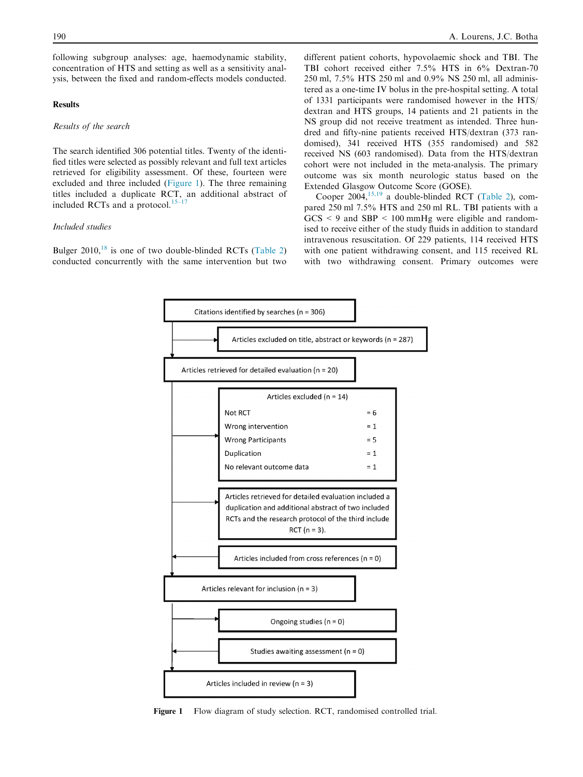following subgroup analyses: age, haemodynamic stability, concentration of HTS and setting as well as a sensitivity analysis, between the fixed and random-effects models conducted.

#### Results

#### Results of the search

The search identified 306 potential titles. Twenty of the identified titles were selected as possibly relevant and full text articles retrieved for eligibility assessment. Of these, fourteen were excluded and three included (Figure 1). The three remaining titles included a duplicate RCT, an additional abstract of included RCTs and a protocol. $15-17$ 

#### Included studies

Bulger  $2010$ , <sup>[18](#page-7-0)</sup> is one of two double-blinded RCTs [\(Table 2\)](#page-4-0) conducted concurrently with the same intervention but two

different patient cohorts, hypovolaemic shock and TBI. The TBI cohort received either 7.5% HTS in 6% Dextran-70 250 ml, 7.5% HTS 250 ml and 0.9% NS 250 ml, all administered as a one-time IV bolus in the pre-hospital setting. A total of 1331 participants were randomised however in the HTS/ dextran and HTS groups, 14 patients and 21 patients in the NS group did not receive treatment as intended. Three hundred and fifty-nine patients received HTS/dextran (373 randomised), 341 received HTS (355 randomised) and 582 received NS (603 randomised). Data from the HTS/dextran cohort were not included in the meta-analysis. The primary outcome was six month neurologic status based on the Extended Glasgow Outcome Score (GOSE).

Cooper 2004,  $15,19$  a double-blinded RCT [\(Table 2](#page-4-0)), compared 250 ml 7.5% HTS and 250 ml RL. TBI patients with a  $GCS < 9$  and  $SBP < 100$  mmHg were eligible and randomised to receive either of the study fluids in addition to standard intravenous resuscitation. Of 229 patients, 114 received HTS with one patient withdrawing consent, and 115 received RL with two withdrawing consent. Primary outcomes were



Figure 1 Flow diagram of study selection. RCT, randomised controlled trial.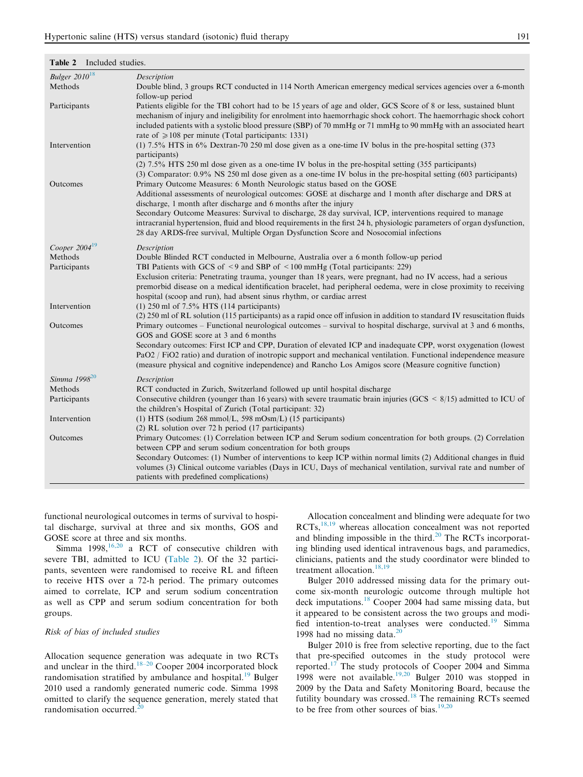| Bulger $2010^{18}$ | Description                                                                                                                                                                                                                                                                                                                                                                                                                                                                                                                                                                             |
|--------------------|-----------------------------------------------------------------------------------------------------------------------------------------------------------------------------------------------------------------------------------------------------------------------------------------------------------------------------------------------------------------------------------------------------------------------------------------------------------------------------------------------------------------------------------------------------------------------------------------|
| Methods            | Double blind, 3 groups RCT conducted in 114 North American emergency medical services agencies over a 6-month<br>follow-up period                                                                                                                                                                                                                                                                                                                                                                                                                                                       |
| Participants       | Patients eligible for the TBI cohort had to be 15 years of age and older, GCS Score of 8 or less, sustained blunt<br>mechanism of injury and ineligibility for enrolment into haemorrhagic shock cohort. The haemorrhagic shock cohort<br>included patients with a systolic blood pressure (SBP) of 70 mmHg or 71 mmHg to 90 mmHg with an associated heart<br>rate of $\geq 108$ per minute (Total participants: 1331)                                                                                                                                                                  |
| Intervention       | (1) 7.5% HTS in 6% Dextran-70 250 ml dose given as a one-time IV bolus in the pre-hospital setting (373)<br>participants)<br>(2) 7.5% HTS 250 ml dose given as a one-time IV bolus in the pre-hospital setting (355 participants)<br>(3) Comparator: 0.9% NS 250 ml dose given as a one-time IV bolus in the pre-hospital setting (603 participants)                                                                                                                                                                                                                                    |
| Outcomes           | Primary Outcome Measures: 6 Month Neurologic status based on the GOSE<br>Additional assessments of neurological outcomes: GOSE at discharge and 1 month after discharge and DRS at<br>discharge, 1 month after discharge and 6 months after the injury<br>Secondary Outcome Measures: Survival to discharge, 28 day survival, ICP, interventions required to manage<br>intracranial hypertension, fluid and blood requirements in the first 24 h, physiologic parameters of organ dysfunction,<br>28 day ARDS-free survival, Multiple Organ Dysfunction Score and Nosocomial infections |
| Cooper $2004^{19}$ | Description                                                                                                                                                                                                                                                                                                                                                                                                                                                                                                                                                                             |
| Methods            | Double Blinded RCT conducted in Melbourne, Australia over a 6 month follow-up period                                                                                                                                                                                                                                                                                                                                                                                                                                                                                                    |
| Participants       | TBI Patients with GCS of <9 and SBP of <100 mmHg (Total participants: 229)<br>Exclusion criteria: Penetrating trauma, younger than 18 years, were pregnant, had no IV access, had a serious<br>premorbid disease on a medical identification bracelet, had peripheral oedema, were in close proximity to receiving<br>hospital (scoop and run), had absent sinus rhythm, or cardiac arrest                                                                                                                                                                                              |
| Intervention       | $(1)$ 250 ml of 7.5% HTS (114 participants)                                                                                                                                                                                                                                                                                                                                                                                                                                                                                                                                             |
| Outcomes           | (2) 250 ml of RL solution (115 participants) as a rapid once off infusion in addition to standard IV resuscitation fluids<br>Primary outcomes – Functional neurological outcomes – survival to hospital discharge, survival at 3 and 6 months,<br>GOS and GOSE score at 3 and 6 months                                                                                                                                                                                                                                                                                                  |
|                    | Secondary outcomes: First ICP and CPP, Duration of elevated ICP and inadequate CPP, worst oxygenation (lowest<br>PaO2 / FiO2 ratio) and duration of inotropic support and mechanical ventilation. Functional independence measure<br>(measure physical and cognitive independence) and Rancho Los Amigos score (Measure cognitive function)                                                                                                                                                                                                                                             |
| Simma $1998^{20}$  | Description                                                                                                                                                                                                                                                                                                                                                                                                                                                                                                                                                                             |
| Methods            | RCT conducted in Zurich, Switzerland followed up until hospital discharge                                                                                                                                                                                                                                                                                                                                                                                                                                                                                                               |
| Participants       | Consecutive children (younger than 16 years) with severe traumatic brain injuries ( $GCS \le 8/15$ ) admitted to ICU of<br>the children's Hospital of Zurich (Total participant: 32)                                                                                                                                                                                                                                                                                                                                                                                                    |
| Intervention       | (1) HTS (sodium $268 \text{ mmol/L}$ , 598 mOsm/L) (15 participants)                                                                                                                                                                                                                                                                                                                                                                                                                                                                                                                    |
| Outcomes           | (2) RL solution over 72 h period (17 participants)<br>Primary Outcomes: (1) Correlation between ICP and Serum sodium concentration for both groups. (2) Correlation<br>between CPP and serum sodium concentration for both groups<br>Secondary Outcomes: (1) Number of interventions to keep ICP within normal limits (2) Additional changes in fluid<br>volumes (3) Clinical outcome variables (Days in ICU, Days of mechanical ventilation, survival rate and number of                                                                                                               |
|                    | patients with predefined complications)                                                                                                                                                                                                                                                                                                                                                                                                                                                                                                                                                 |

#### <span id="page-4-0"></span>Table 2 Include studies.

functional neurological outcomes in terms of survival to hospital discharge, survival at three and six months, GOS and GOSE score at three and six months.

Simma  $1998$ ,  $16,20$  a RCT of consecutive children with severe TBI, admitted to ICU (Table 2). Of the 32 participants, seventeen were randomised to receive RL and fifteen to receive HTS over a 72-h period. The primary outcomes aimed to correlate, ICP and serum sodium concentration as well as CPP and serum sodium concentration for both groups.

#### Risk of bias of included studies

Allocation sequence generation was adequate in two RCTs and unclear in the third. $18-20$  Cooper 2004 incorporated block randomisation stratified by ambulance and hospital.<sup>[19](#page-7-0)</sup> Bulger 2010 used a randomly generated numeric code. Simma 1998 omitted to clarify the sequence generation, merely stated that randomisation occurred. $^{20}$  $^{20}$  $^{20}$ 

Allocation concealment and blinding were adequate for two RCTs,[18,19](#page-7-0) whereas allocation concealment was not reported and blinding impossible in the third.<sup>[20](#page-7-0)</sup> The RCTs incorporating blinding used identical intravenous bags, and paramedics, clinicians, patients and the study coordinator were blinded to treatment allocation.<sup>[18,19](#page-7-0)</sup>

Bulger 2010 addressed missing data for the primary outcome six-month neurologic outcome through multiple hot deck imputations.[18](#page-7-0) Cooper 2004 had same missing data, but it appeared to be consistent across the two groups and modi-fied intention-to-treat analyses were conducted.<sup>[19](#page-7-0)</sup> Simma 1998 had no missing data. $20$ 

Bulger 2010 is free from selective reporting, due to the fact that pre-specified outcomes in the study protocol were reported.[17](#page-7-0) The study protocols of Cooper 2004 and Simma 1998 were not available.<sup>[19,20](#page-7-0)</sup> Bulger 2010 was stopped in 2009 by the Data and Safety Monitoring Board, because the futility boundary was crossed.<sup>[18](#page-7-0)</sup> The remaining RCTs seemed to be free from other sources of bias. $19,20$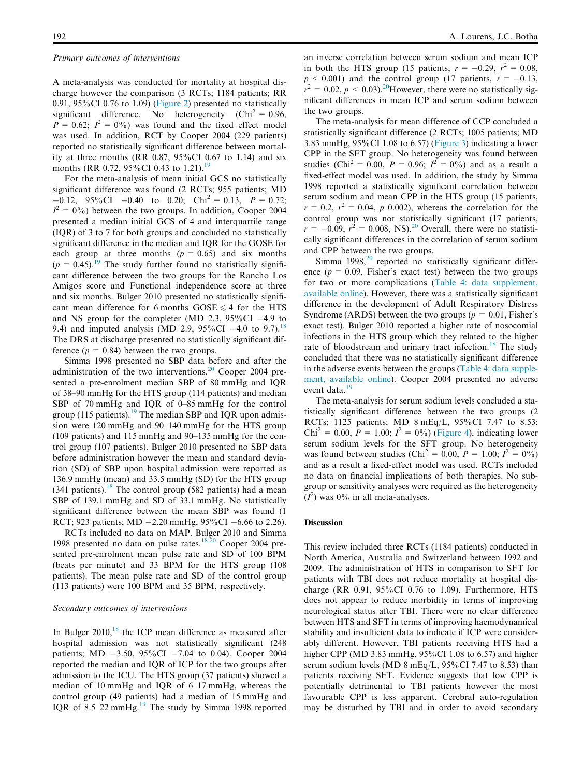#### Primary outcomes of interventions

A meta-analysis was conducted for mortality at hospital discharge however the comparison (3 RCTs; 1184 patients; RR 0.91, 95%CI 0.76 to 1.09) ([Figure 2](#page-6-0)) presented no statistically significant difference. No heterogeneity  $(Chi^2 = 0.96, ...)$  $P = 0.62$ ;  $I^2 = 0\%$ ) was found and the fixed effect model was used. In addition, RCT by Cooper 2004 (229 patients) reported no statistically significant difference between mortality at three months (RR  $0.87$ ,  $95\%$ CI 0.67 to 1.14) and six months (RR 0.72, 95%CI 0.43 to 1.21).<sup>19</sup>

For the meta-analysis of mean initial GCS no statistically significant difference was found (2 RCTs; 955 patients; MD  $-0.12$ , 95%CI  $-0.40$  to 0.20; Chi<sup>2</sup> = 0.13, P = 0.72;  $I^2 = 0\%$ ) between the two groups. In addition, Cooper 2004 presented a median initial GCS of 4 and interquartile range (IQR) of 3 to 7 for both groups and concluded no statistically significant difference in the median and IQR for the GOSE for each group at three months  $(p = 0.65)$  and six months  $(p = 0.45)$ .<sup>[19](#page-7-0)</sup> The study further found no statistically significant difference between the two groups for the Rancho Los Amigos score and Functional independence score at three and six months. Bulger 2010 presented no statistically significant mean difference for 6 months  $GOSE \le 4$  for the HTS and NS group for the completer (MD 2.3,  $95\%$ CI -4.9 to 9.4) and imputed analysis (MD 2.9,  $95\%$ CI -4.0 to 9.7).<sup>18</sup> The DRS at discharge presented no statistically significant difference  $(p = 0.84)$  between the two groups.

Simma 1998 presented no SBP data before and after the administration of the two interventions.<sup>[20](#page-7-0)</sup> Cooper 2004 presented a pre-enrolment median SBP of 80 mmHg and IQR of 38–90 mmHg for the HTS group (114 patients) and median SBP of 70 mmHg and IQR of 0–85 mmHg for the control group (115 patients).<sup>[19](#page-7-0)</sup> The median SBP and IQR upon admission were 120 mmHg and 90–140 mmHg for the HTS group (109 patients) and 115 mmHg and 90–135 mmHg for the control group (107 patients). Bulger 2010 presented no SBP data before administration however the mean and standard deviation (SD) of SBP upon hospital admission were reported as 136.9 mmHg (mean) and 33.5 mmHg (SD) for the HTS group (341 patients).<sup>[18](#page-7-0)</sup> The control group (582 patients) had a mean SBP of 139.1 mmHg and SD of 33.1 mmHg. No statistically significant difference between the mean SBP was found (1 RCT; 923 patients; MD  $-2.20$  mmHg, 95%CI  $-6.66$  to 2.26).

RCTs included no data on MAP. Bulger 2010 and Simma 1998 presented no data on pulse rates. $18,20$  Cooper 2004 presented pre-enrolment mean pulse rate and SD of 100 BPM (beats per minute) and 33 BPM for the HTS group (108 patients). The mean pulse rate and SD of the control group (113 patients) were 100 BPM and 35 BPM, respectively.

#### Secondary outcomes of interventions

In Bulger  $2010$ ,<sup>[18](#page-7-0)</sup> the ICP mean difference as measured after hospital admission was not statistically significant (248 patients; MD  $-3.50$ , 95%CI  $-7.04$  to 0.04). Cooper 2004 reported the median and IQR of ICP for the two groups after admission to the ICU. The HTS group (37 patients) showed a median of 10 mmHg and IQR of 6–17 mmHg, whereas the control group (49 patients) had a median of 15 mmHg and IQR of 8.5–22 mmHg. $^{19}$  $^{19}$  $^{19}$  The study by Simma 1998 reported an inverse correlation between serum sodium and mean ICP in both the HTS group (15 patients,  $r = -0.29$ ,  $r^2 = 0.08$ ,  $p < 0.001$ ) and the control group (17 patients,  $r = -0.13$ ,  $r^2 = 0.02$ ,  $p < 0.03$ ).<sup>20</sup>However, there were no statistically significant differences in mean ICP and serum sodium between the two groups.

The meta-analysis for mean difference of CCP concluded a statistically significant difference (2 RCTs; 1005 patients; MD 3.83 mmHg, 95%CI 1.08 to 6.57) ([Figure 3\)](#page-6-0) indicating a lower CPP in the SFT group. No heterogeneity was found between studies (Chi<sup>2</sup> = 0.00,  $P = 0.96$ ;  $I^2 = 0\%$ ) and as a result a fixed-effect model was used. In addition, the study by Simma 1998 reported a statistically significant correlation between serum sodium and mean CPP in the HTS group (15 patients,  $r = 0.2$ ,  $r^2 = 0.04$ , p 0.002), whereas the correlation for the control group was not statistically significant (17 patients,  $r = -0.09$ ,  $r^2 = 0.008$ , NS $i^{20}$  $i^{20}$  $i^{20}$  Overall, there were no statistically significant differences in the correlation of serum sodium and CPP between the two groups.

Simma  $1998$ ,  $^{20}$  $^{20}$  $^{20}$  reported no statistically significant difference ( $p = 0.09$ . Fisher's exact test) between the two groups for two or more complications [\(Table 4: data supplement,](#page-7-0) [available online](#page-7-0)). However, there was a statistically significant difference in the development of Adult Respiratory Distress Syndrome (ARDS) between the two groups ( $p = 0.01$ , Fisher's exact test). Bulger 2010 reported a higher rate of nosocomial infections in the HTS group which they related to the higher rate of bloodstream and urinary tract infection.<sup>[18](#page-7-0)</sup> The study concluded that there was no statistically significant difference in the adverse events between the groups [\(Table 4: data supple](#page-7-0)[ment, available online\)](#page-7-0). Cooper 2004 presented no adverse event data.<sup>[19](#page-7-0)</sup>

The meta-analysis for serum sodium levels concluded a statistically significant difference between the two groups (2 RCTs; 1125 patients; MD 8 mEq/L, 95%CI 7.47 to 8.53;  $Chi^2 = 0.00$ ,  $P = 1.00$ ;  $I^2 = 0\%$ ) [\(Figure 4](#page-6-0)), indicating lower serum sodium levels for the SFT group. No heterogeneity was found between studies (Chi<sup>2</sup> = 0.00,  $P = 1.00$ ;  $I^2 = 0\%$ ) and as a result a fixed-effect model was used. RCTs included no data on financial implications of both therapies. No subgroup or sensitivity analyses were required as the heterogeneity  $(I^2)$  was 0% in all meta-analyses.

#### **Discussion**

This review included three RCTs (1184 patients) conducted in North America, Australia and Switzerland between 1992 and 2009. The administration of HTS in comparison to SFT for patients with TBI does not reduce mortality at hospital discharge (RR 0.91, 95%CI 0.76 to 1.09). Furthermore, HTS does not appear to reduce morbidity in terms of improving neurological status after TBI. There were no clear difference between HTS and SFT in terms of improving haemodynamical stability and insufficient data to indicate if ICP were considerably different. However, TBI patients receiving HTS had a higher CPP (MD 3.83 mmHg, 95%CI 1.08 to 6.57) and higher serum sodium levels (MD 8 mEq/L,  $95\%$ CI 7.47 to 8.53) than patients receiving SFT. Evidence suggests that low CPP is potentially detrimental to TBI patients however the most favourable CPP is less apparent. Cerebral auto-regulation may be disturbed by TBI and in order to avoid secondary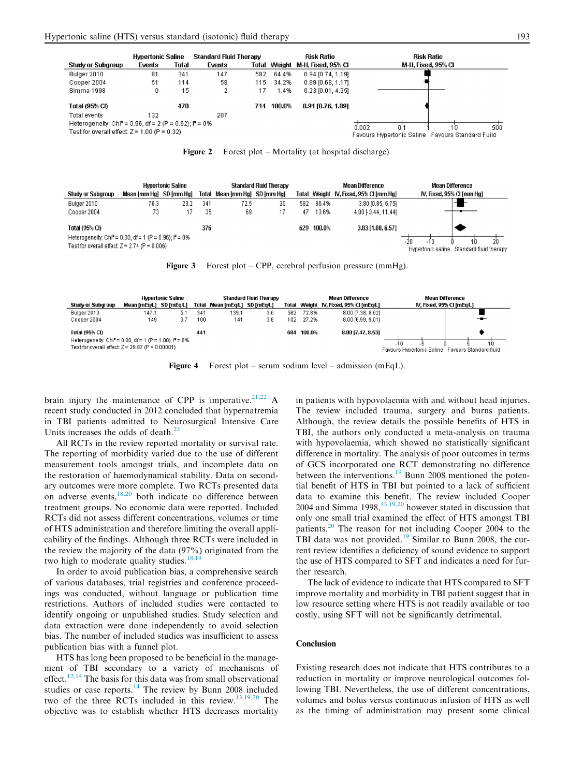<span id="page-6-0"></span>

Figure 2 Forest plot – Mortality (at hospital discharge).

|                                                                                                                         | <b>Hypertonic Saline</b> |      |     | <b>Standard Fluid Therapy</b> |    |     | Mean Difference |                                       | <b>Mean Difference</b>                                         |  |
|-------------------------------------------------------------------------------------------------------------------------|--------------------------|------|-----|-------------------------------|----|-----|-----------------|---------------------------------------|----------------------------------------------------------------|--|
| Study or Subgroup                                                                                                       | Mean [mm Hg] SD [mm Hg]  |      |     | Total Mean [mm Hg] SD [mm Hg] |    |     |                 | Total Weight N, Fixed, 95% CI [mm Hg] | IV, Fixed, 95% CI [mm Hg]                                      |  |
| Bulger 2010                                                                                                             | 76.3                     | 23.2 | 341 | 72.5                          | 20 | 582 | 86.4%           | 3.80 [0.85, 6.75]                     |                                                                |  |
| Cooper 2004                                                                                                             | 73                       |      | 35  | 69                            |    | 47  | 13.6%           | 4.00 [-3.44, 11.44]                   |                                                                |  |
| Total (95% CI)                                                                                                          |                          |      | 376 |                               |    | 629 | 100.0%          | 3.83 [1.08, 6.57]                     |                                                                |  |
| Heterogeneity: Chi <sup>2</sup> = 0.00, df = 1 (P = 0.96); $P = 0\%$<br>Test for overall effect: $Z = 2.74$ (P = 0.006) |                          |      |     |                               |    |     |                 |                                       | -20<br>20<br>$-10$<br>Hypertonic saline Standard fluid therapy |  |

Figure 3 Forest plot – CPP, cerebral perfusion pressure (mmHg).

|                                                                            |            |                                                   | <b>Mean Difference</b> | <b>Mean Difference</b> |                                                                                                                                                                                       |  |  |  |
|----------------------------------------------------------------------------|------------|---------------------------------------------------|------------------------|------------------------|---------------------------------------------------------------------------------------------------------------------------------------------------------------------------------------|--|--|--|
| Total                                                                      |            |                                                   |                        |                        |                                                                                                                                                                                       |  |  |  |
| 139.1<br>34 <sup>°</sup>                                                   | 3.6<br>582 | 72.8%                                             |                        |                        |                                                                                                                                                                                       |  |  |  |
| 100<br>141                                                                 | 3.6<br>102 | 27.2%                                             |                        |                        | $-$                                                                                                                                                                                   |  |  |  |
| 441                                                                        | 684        | 100.0%                                            |                        |                        |                                                                                                                                                                                       |  |  |  |
| Heterogeneity: Chi <sup>2</sup> = 0.00, df = 1 (P = 1.00); $P = 0\%$<br>10 |            |                                                   |                        |                        |                                                                                                                                                                                       |  |  |  |
|                                                                            |            |                                                   |                        |                        |                                                                                                                                                                                       |  |  |  |
|                                                                            |            | Standard Fluid Therapy<br>Mean [mEg/L] SD [mEg/L] |                        |                        | IV, Fixed, 95% CI [mEg/L]<br>Total Weight N, Fixed, 95% CI [mEg/L]<br>8.00 [7.38, 8.62]<br>8.00 [6.99, 9.01]<br>8.00 [7.47, 8.53]<br>Favours Hypertonic Saline Favours Standard fluid |  |  |  |

Figure 4 Forest plot – serum sodium level – admission (mEqL).

brain injury the maintenance of CPP is imperative.<sup>[21,22](#page-7-0)</sup> A recent study conducted in 2012 concluded that hypernatremia in TBI patients admitted to Neurosurgical Intensive Care Units increases the odds of death. $^{23}$ 

All RCTs in the review reported mortality or survival rate. The reporting of morbidity varied due to the use of different measurement tools amongst trials, and incomplete data on the restoration of haemodynamical stability. Data on secondary outcomes were more complete. Two RCTs presented data on adverse events,[18,20](#page-7-0) both indicate no difference between treatment groups. No economic data were reported. Included RCTs did not assess different concentrations, volumes or time of HTS administration and therefore limiting the overall applicability of the findings. Although three RCTs were included in the review the majority of the data (97%) originated from the two high to moderate quality studies. $18,19$ 

In order to avoid publication bias, a comprehensive search of various databases, trial registries and conference proceedings was conducted, without language or publication time restrictions. Authors of included studies were contacted to identify ongoing or unpublished studies. Study selection and data extraction were done independently to avoid selection bias. The number of included studies was insufficient to assess publication bias with a funnel plot.

HTS has long been proposed to be beneficial in the management of TBI secondary to a variety of mechanisms of effect.<sup>12,14</sup> The basis for this data was from small observational studies or case reports.<sup>[14](#page-7-0)</sup> The review by Bunn 2008 included two of the three RCTs included in this review.[13,19,20](#page-7-0) The objective was to establish whether HTS decreases mortality in patients with hypovolaemia with and without head injuries. The review included trauma, surgery and burns patients. Although, the review details the possible benefits of HTS in TBI, the authors only conducted a meta-analysis on trauma with hypovolaemia, which showed no statistically significant difference in mortality. The analysis of poor outcomes in terms of GCS incorporated one RCT demonstrating no difference between the interventions.<sup>[19](#page-7-0)</sup> Bunn 2008 mentioned the potential benefit of HTS in TBI but pointed to a lack of sufficient data to examine this benefit. The review included Cooper 2004 and Simma 1998, $\frac{13,19,20}{2}$  $\frac{13,19,20}{2}$  $\frac{13,19,20}{2}$  however stated in discussion that only one small trial examined the effect of HTS amongst TBI patients.[20](#page-7-0) The reason for not including Cooper 2004 to the TBI data was not provided.<sup>[19](#page-7-0)</sup> Similar to Bunn 2008, the current review identifies a deficiency of sound evidence to support the use of HTS compared to SFT and indicates a need for further research.

The lack of evidence to indicate that HTS compared to SFT improve mortality and morbidity in TBI patient suggest that in low resource setting where HTS is not readily available or too costly, using SFT will not be significantly detrimental.

#### Conclusion

Existing research does not indicate that HTS contributes to a reduction in mortality or improve neurological outcomes following TBI. Nevertheless, the use of different concentrations, volumes and bolus versus continuous infusion of HTS as well as the timing of administration may present some clinical